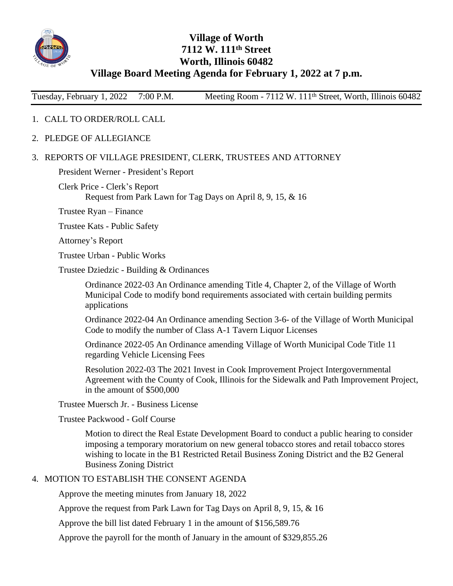

## **Village of Worth 7112 W. 111th Street Worth, Illinois 60482 Village Board Meeting Agenda for February 1, 2022 at 7 p.m.**

Tuesday, February 1, 2022 7:00 P.M. Meeting Room - 7112 W. 111<sup>th</sup> Street, Worth, Illinois 60482

## 1. CALL TO ORDER/ROLL CALL

2. PLEDGE OF ALLEGIANCE

## 3. REPORTS OF VILLAGE PRESIDENT, CLERK, TRUSTEES AND ATTORNEY

President Werner - President's Report

Clerk Price - Clerk's Report Request from Park Lawn for Tag Days on April 8, 9, 15, & 16

Trustee Ryan – Finance

Trustee Kats - Public Safety

Attorney's Report

Trustee Urban - Public Works

Trustee Dziedzic - Building & Ordinances

Ordinance 2022-03 An Ordinance amending Title 4, Chapter 2, of the Village of Worth Municipal Code to modify bond requirements associated with certain building permits applications

Ordinance 2022-04 An Ordinance amending Section 3-6- of the Village of Worth Municipal Code to modify the number of Class A-1 Tavern Liquor Licenses

Ordinance 2022-05 An Ordinance amending Village of Worth Municipal Code Title 11 regarding Vehicle Licensing Fees

Resolution 2022-03 The 2021 Invest in Cook Improvement Project Intergovernmental Agreement with the County of Cook, Illinois for the Sidewalk and Path Improvement Project, in the amount of \$500,000

Trustee Muersch Jr. - Business License

Trustee Packwood - Golf Course

Motion to direct the Real Estate Development Board to conduct a public hearing to consider imposing a temporary moratorium on new general tobacco stores and retail tobacco stores wishing to locate in the B1 Restricted Retail Business Zoning District and the B2 General Business Zoning District

## 4. MOTION TO ESTABLISH THE CONSENT AGENDA

Approve the meeting minutes from January 18, 2022

Approve the request from Park Lawn for Tag Days on April 8, 9, 15, & 16

Approve the bill list dated February 1 in the amount of \$156,589.76

Approve the payroll for the month of January in the amount of \$329,855.26